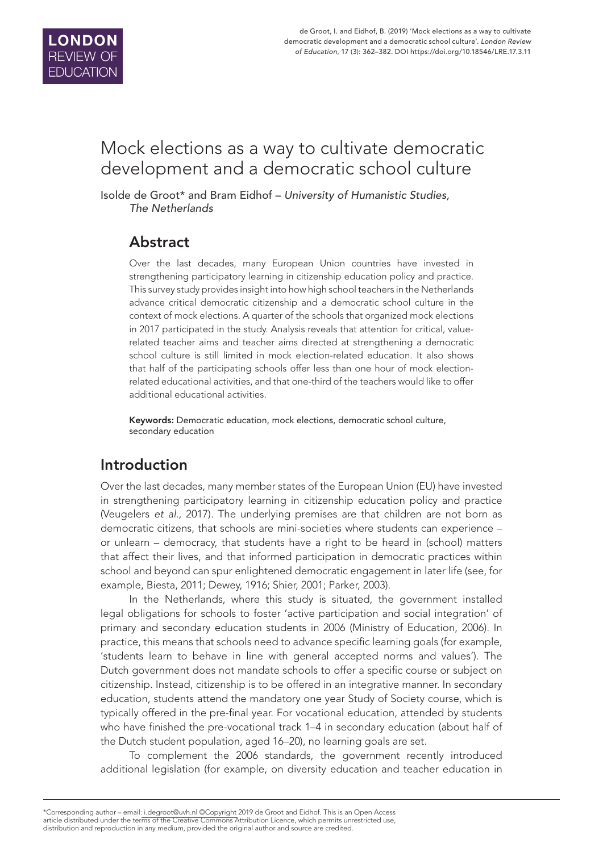

# Mock elections as a way to cultivate democratic development and a democratic school culture

Isolde de Groot\* and Bram Eidhof – *University of Humanistic Studies, The Netherlands*

# Abstract

Over the last decades, many European Union countries have invested in strengthening participatory learning in citizenship education policy and practice. This survey study provides insight into how high school teachers in the Netherlands advance critical democratic citizenship and a democratic school culture in the context of mock elections. A quarter of the schools that organized mock elections in 2017 participated in the study. Analysis reveals that attention for critical, valuerelated teacher aims and teacher aims directed at strengthening a democratic school culture is still limited in mock election-related education. It also shows that half of the participating schools offer less than one hour of mock electionrelated educational activities, and that one-third of the teachers would like to offer additional educational activities.

Keywords: Democratic education, mock elections, democratic school culture, secondary education

# Introduction

Over the last decades, many member states of the European Union (EU) have invested in strengthening participatory learning in citizenship education policy and practice (Veugelers *et al.*, 2017). The underlying premises are that children are not born as democratic citizens, that schools are mini-societies where students can experience – or unlearn – democracy, that students have a right to be heard in (school) matters that affect their lives, and that informed participation in democratic practices within school and beyond can spur enlightened democratic engagement in later life (see, for example, Biesta, 2011; Dewey, 1916; Shier, 2001; Parker, 2003).

In the Netherlands, where this study is situated, the government installed legal obligations for schools to foster 'active participation and social integration' of primary and secondary education students in 2006 (Ministry of Education, 2006). In practice, this means that schools need to advance specific learning goals (for example, 'students learn to behave in line with general accepted norms and values'). The Dutch government does not mandate schools to offer a specific course or subject on citizenship. Instead, citizenship is to be offered in an integrative manner. In secondary education, students attend the mandatory one year Study of Society course, which is typically offered in the pre-final year. For vocational education, attended by students who have finished the pre-vocational track 1–4 in secondary education (about half of the Dutch student population, aged 16–20), no learning goals are set.

To complement the 2006 standards, the government recently introduced additional legislation (for example, on diversity education and teacher education in

<sup>\*</sup>Corresponding author – email[: i.degroot@uvh.nl ©Copyright](mailto:i.degroot@uvh.nl) 2019 de Groot and Eidhof. This is an Open Access article distributed under the terms of the Creative Commons Attribution Licence, which permits unrestricted use, distribution and reproduction in any medium, provided the original author and source are credited.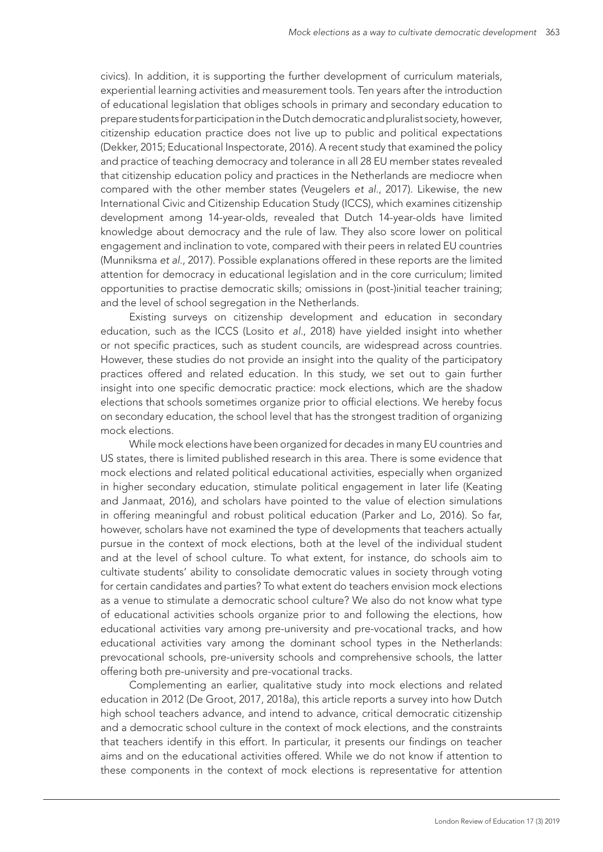civics). In addition, it is supporting the further development of curriculum materials, experiential learning activities and measurement tools. Ten years after the introduction of educational legislation that obliges schools in primary and secondary education to prepare students for participation in the Dutch democratic and pluralist society, however, citizenship education practice does not live up to public and political expectations (Dekker, 2015; Educational Inspectorate, 2016). A recent study that examined the policy and practice of teaching democracy and tolerance in all 28 EU member states revealed that citizenship education policy and practices in the Netherlands are mediocre when compared with the other member states (Veugelers *et al.*, 2017). Likewise, the new International Civic and Citizenship Education Study (ICCS), which examines citizenship development among 14-year-olds, revealed that Dutch 14-year-olds have limited knowledge about democracy and the rule of law. They also score lower on political engagement and inclination to vote, compared with their peers in related EU countries (Munniksma *et al.*, 2017). Possible explanations offered in these reports are the limited attention for democracy in educational legislation and in the core curriculum; limited opportunities to practise democratic skills; omissions in (post-)initial teacher training; and the level of school segregation in the Netherlands.

Existing surveys on citizenship development and education in secondary education, such as the ICCS (Losito *et al.*, 2018) have yielded insight into whether or not specific practices, such as student councils, are widespread across countries. However, these studies do not provide an insight into the quality of the participatory practices offered and related education. In this study, we set out to gain further insight into one specific democratic practice: mock elections, which are the shadow elections that schools sometimes organize prior to official elections. We hereby focus on secondary education, the school level that has the strongest tradition of organizing mock elections.

While mock elections have been organized for decades in many EU countries and US states, there is limited published research in this area. There is some evidence that mock elections and related political educational activities, especially when organized in higher secondary education, stimulate political engagement in later life (Keating and Janmaat, 2016), and scholars have pointed to the value of election simulations in offering meaningful and robust political education (Parker and Lo, 2016). So far, however, scholars have not examined the type of developments that teachers actually pursue in the context of mock elections, both at the level of the individual student and at the level of school culture. To what extent, for instance, do schools aim to cultivate students' ability to consolidate democratic values in society through voting for certain candidates and parties? To what extent do teachers envision mock elections as a venue to stimulate a democratic school culture? We also do not know what type of educational activities schools organize prior to and following the elections, how educational activities vary among pre-university and pre-vocational tracks, and how educational activities vary among the dominant school types in the Netherlands: prevocational schools, pre-university schools and comprehensive schools, the latter offering both pre-university and pre-vocational tracks.

Complementing an earlier, qualitative study into mock elections and related education in 2012 (De Groot, 2017, 2018a), this article reports a survey into how Dutch high school teachers advance, and intend to advance, critical democratic citizenship and a democratic school culture in the context of mock elections, and the constraints that teachers identify in this effort. In particular, it presents our findings on teacher aims and on the educational activities offered. While we do not know if attention to these components in the context of mock elections is representative for attention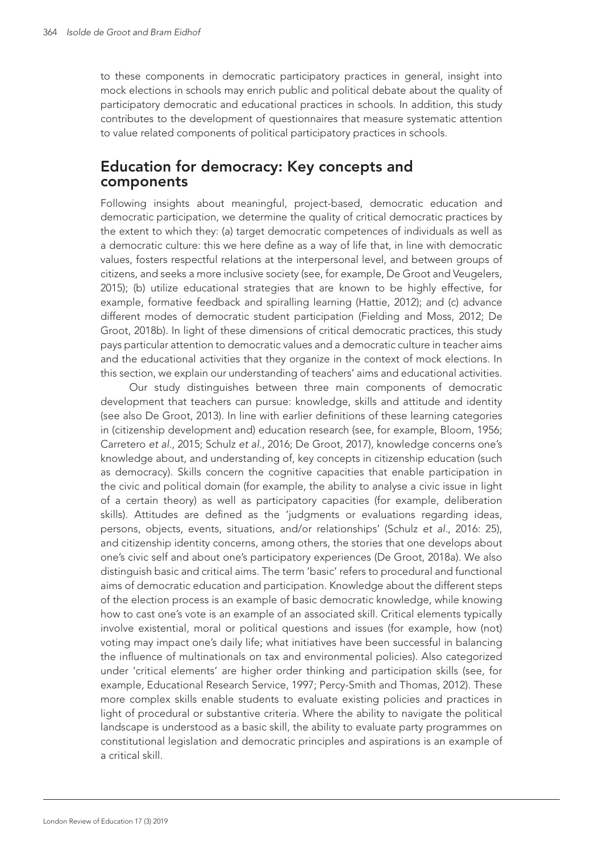to these components in democratic participatory practices in general, insight into mock elections in schools may enrich public and political debate about the quality of participatory democratic and educational practices in schools. In addition, this study contributes to the development of questionnaires that measure systematic attention to value related components of political participatory practices in schools.

## Education for democracy: Key concepts and components

Following insights about meaningful, project-based, democratic education and democratic participation, we determine the quality of critical democratic practices by the extent to which they: (a) target democratic competences of individuals as well as a democratic culture: this we here define as a way of life that, in line with democratic values, fosters respectful relations at the interpersonal level, and between groups of citizens, and seeks a more inclusive society (see, for example, De Groot and Veugelers, 2015); (b) utilize educational strategies that are known to be highly effective, for example, formative feedback and spiralling learning (Hattie, 2012); and (c) advance different modes of democratic student participation (Fielding and Moss, 2012; De Groot, 2018b). In light of these dimensions of critical democratic practices, this study pays particular attention to democratic values and a democratic culture in teacher aims and the educational activities that they organize in the context of mock elections. In this section, we explain our understanding of teachers' aims and educational activities.

Our study distinguishes between three main components of democratic development that teachers can pursue: knowledge, skills and attitude and identity (see also De Groot, 2013). In line with earlier definitions of these learning categories in (citizenship development and) education research (see, for example, Bloom, 1956; Carretero *et al.*, 2015; Schulz *et al.*, 2016; De Groot, 2017), knowledge concerns one's knowledge about, and understanding of, key concepts in citizenship education (such as democracy). Skills concern the cognitive capacities that enable participation in the civic and political domain (for example, the ability to analyse a civic issue in light of a certain theory) as well as participatory capacities (for example, deliberation skills). Attitudes are defined as the 'judgments or evaluations regarding ideas, persons, objects, events, situations, and/or relationships' (Schulz *et al.*, 2016: 25), and citizenship identity concerns, among others, the stories that one develops about one's civic self and about one's participatory experiences (De Groot, 2018a). We also distinguish basic and critical aims. The term 'basic' refers to procedural and functional aims of democratic education and participation. Knowledge about the different steps of the election process is an example of basic democratic knowledge, while knowing how to cast one's vote is an example of an associated skill. Critical elements typically involve existential, moral or political questions and issues (for example, how (not) voting may impact one's daily life; what initiatives have been successful in balancing the influence of multinationals on tax and environmental policies). Also categorized under 'critical elements' are higher order thinking and participation skills (see, for example, Educational Research Service, 1997; Percy-Smith and Thomas, 2012). These more complex skills enable students to evaluate existing policies and practices in light of procedural or substantive criteria. Where the ability to navigate the political landscape is understood as a basic skill, the ability to evaluate party programmes on constitutional legislation and democratic principles and aspirations is an example of a critical skill.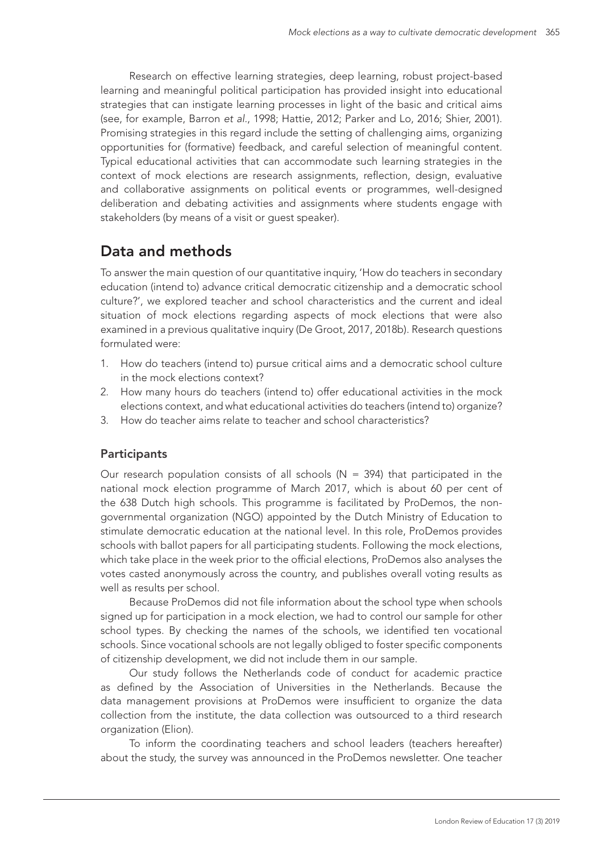Research on effective learning strategies, deep learning, robust project-based learning and meaningful political participation has provided insight into educational strategies that can instigate learning processes in light of the basic and critical aims (see, for example, Barron *et al.*, 1998; Hattie, 2012; Parker and Lo, 2016; Shier, 2001). Promising strategies in this regard include the setting of challenging aims, organizing opportunities for (formative) feedback, and careful selection of meaningful content. Typical educational activities that can accommodate such learning strategies in the context of mock elections are research assignments, reflection, design, evaluative and collaborative assignments on political events or programmes, well-designed deliberation and debating activities and assignments where students engage with stakeholders (by means of a visit or guest speaker).

# Data and methods

To answer the main question of our quantitative inquiry, 'How do teachers in secondary education (intend to) advance critical democratic citizenship and a democratic school culture?', we explored teacher and school characteristics and the current and ideal situation of mock elections regarding aspects of mock elections that were also examined in a previous qualitative inquiry (De Groot, 2017, 2018b). Research questions formulated were:

- 1. How do teachers (intend to) pursue critical aims and a democratic school culture in the mock elections context?
- 2. How many hours do teachers (intend to) offer educational activities in the mock elections context, and what educational activities do teachers (intend to) organize?
- 3. How do teacher aims relate to teacher and school characteristics?

### **Participants**

Our research population consists of all schools ( $N = 394$ ) that participated in the national mock election programme of March 2017, which is about 60 per cent of the 638 Dutch high schools. This programme is facilitated by ProDemos, the nongovernmental organization (NGO) appointed by the Dutch Ministry of Education to stimulate democratic education at the national level. In this role, ProDemos provides schools with ballot papers for all participating students. Following the mock elections, which take place in the week prior to the official elections, ProDemos also analyses the votes casted anonymously across the country, and publishes overall voting results as well as results per school.

Because ProDemos did not file information about the school type when schools signed up for participation in a mock election, we had to control our sample for other school types. By checking the names of the schools, we identified ten vocational schools. Since vocational schools are not legally obliged to foster specific components of citizenship development, we did not include them in our sample.

Our study follows the Netherlands code of conduct for academic practice as defined by the Association of Universities in the Netherlands. Because the data management provisions at ProDemos were insufficient to organize the data collection from the institute, the data collection was outsourced to a third research organization (Elion).

To inform the coordinating teachers and school leaders (teachers hereafter) about the study, the survey was announced in the ProDemos newsletter. One teacher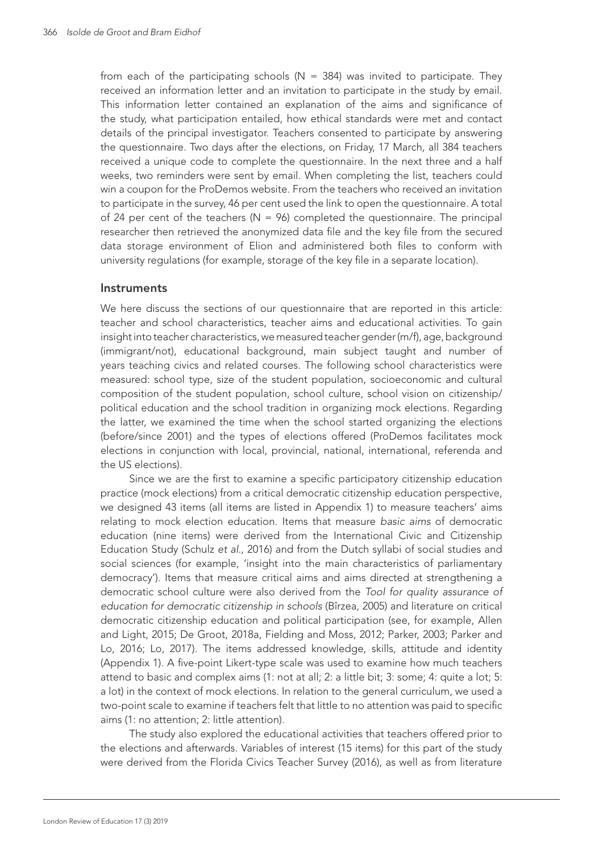from each of the participating schools ( $N = 384$ ) was invited to participate. They received an information letter and an invitation to participate in the study by email. This information letter contained an explanation of the aims and significance of the study, what participation entailed, how ethical standards were met and contact details of the principal investigator. Teachers consented to participate by answering the questionnaire. Two days after the elections, on Friday, 17 March, all 384 teachers received a unique code to complete the questionnaire. In the next three and a half weeks, two reminders were sent by email. When completing the list, teachers could win a coupon for the ProDemos website. From the teachers who received an invitation to participate in the survey, 46 per cent used the link to open the questionnaire. A total of 24 per cent of the teachers ( $N = 96$ ) completed the questionnaire. The principal researcher then retrieved the anonymized data file and the key file from the secured data storage environment of Elion and administered both files to conform with university regulations (for example, storage of the key file in a separate location).

#### **Instruments**

We here discuss the sections of our questionnaire that are reported in this article: teacher and school characteristics, teacher aims and educational activities. To gain insight into teacher characteristics, we measured teacher gender (m/f), age, background (immigrant/not), educational background, main subject taught and number of years teaching civics and related courses. The following school characteristics were measured: school type, size of the student population, socioeconomic and cultural composition of the student population, school culture, school vision on citizenship/ political education and the school tradition in organizing mock elections. Regarding the latter, we examined the time when the school started organizing the elections (before/since 2001) and the types of elections offered (ProDemos facilitates mock elections in conjunction with local, provincial, national, international, referenda and the US elections).

Since we are the first to examine a specific participatory citizenship education practice (mock elections) from a critical democratic citizenship education perspective, we designed 43 items (all items are listed in Appendix 1) to measure teachers' aims relating to mock election education. Items that measure *basic aims* of democratic education (nine items) were derived from the International Civic and Citizenship Education Study (Schulz *et al*., 2016) and from the Dutch syllabi of social studies and social sciences (for example, 'insight into the main characteristics of parliamentary democracy'). Items that measure critical aims and aims directed at strengthening a democratic school culture were also derived from the *Tool for quality assurance of education for democratic citizenship in schools* (Bîrzea, 2005) and literature on critical democratic citizenship education and political participation (see, for example, Allen and Light, 2015; De Groot, 2018a, Fielding and Moss, 2012; Parker, 2003; Parker and Lo, 2016; Lo, 2017). The items addressed knowledge, skills, attitude and identity (Appendix 1). A five-point Likert-type scale was used to examine how much teachers attend to basic and complex aims (1: not at all; 2: a little bit; 3: some; 4: quite a lot; 5: a lot) in the context of mock elections. In relation to the general curriculum, we used a two-point scale to examine if teachers felt that little to no attention was paid to specific aims (1: no attention; 2: little attention).

The study also explored the educational activities that teachers offered prior to the elections and afterwards. Variables of interest (15 items) for this part of the study were derived from the Florida Civics Teacher Survey (2016), as well as from literature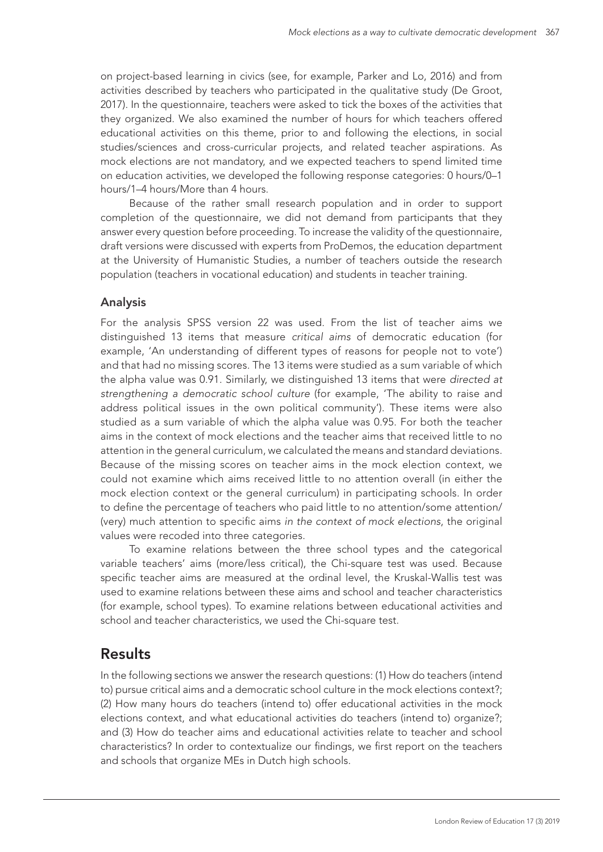on project-based learning in civics (see, for example, Parker and Lo, 2016) and from activities described by teachers who participated in the qualitative study (De Groot, 2017). In the questionnaire, teachers were asked to tick the boxes of the activities that they organized. We also examined the number of hours for which teachers offered educational activities on this theme, prior to and following the elections, in social studies/sciences and cross-curricular projects, and related teacher aspirations. As mock elections are not mandatory, and we expected teachers to spend limited time on education activities, we developed the following response categories: 0 hours/0–1 hours/1–4 hours/More than 4 hours.

Because of the rather small research population and in order to support completion of the questionnaire, we did not demand from participants that they answer every question before proceeding. To increase the validity of the questionnaire, draft versions were discussed with experts from ProDemos, the education department at the University of Humanistic Studies, a number of teachers outside the research population (teachers in vocational education) and students in teacher training.

### Analysis

For the analysis SPSS version 22 was used. From the list of teacher aims we distinguished 13 items that measure *critical aims* of democratic education (for example, 'An understanding of different types of reasons for people not to vote') and that had no missing scores*.* The 13 items were studied as a sum variable of which the alpha value was 0.91. Similarly, we distinguished 13 items that were *directed at strengthening a democratic school culture* (for example, 'The ability to raise and address political issues in the own political community'). These items were also studied as a sum variable of which the alpha value was 0.95. For both the teacher aims in the context of mock elections and the teacher aims that received little to no attention in the general curriculum, we calculated the means and standard deviations. Because of the missing scores on teacher aims in the mock election context, we could not examine which aims received little to no attention overall (in either the mock election context or the general curriculum) in participating schools. In order to define the percentage of teachers who paid little to no attention/some attention/ (very) much attention to specific aims *in the context of mock elections*, the original values were recoded into three categories.

To examine relations between the three school types and the categorical variable teachers' aims (more/less critical), the Chi-square test was used. Because specific teacher aims are measured at the ordinal level, the Kruskal-Wallis test was used to examine relations between these aims and school and teacher characteristics (for example, school types). To examine relations between educational activities and school and teacher characteristics, we used the Chi-square test.

## Results

In the following sections we answer the research questions: (1) How do teachers (intend to) pursue critical aims and a democratic school culture in the mock elections context?; (2) How many hours do teachers (intend to) offer educational activities in the mock elections context, and what educational activities do teachers (intend to) organize?; and (3) How do teacher aims and educational activities relate to teacher and school characteristics? In order to contextualize our findings, we first report on the teachers and schools that organize MEs in Dutch high schools.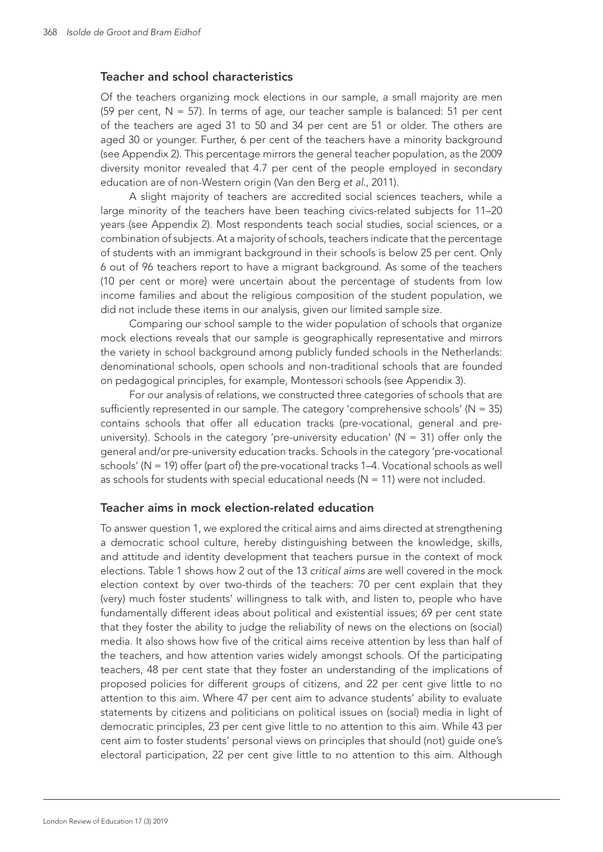#### Teacher and school characteristics

Of the teachers organizing mock elections in our sample, a small majority are men (59 per cent,  $N = 57$ ). In terms of age, our teacher sample is balanced: 51 per cent of the teachers are aged 31 to 50 and 34 per cent are 51 or older. The others are aged 30 or younger. Further, 6 per cent of the teachers have a minority background (see Appendix 2). This percentage mirrors the general teacher population, as the 2009 diversity monitor revealed that 4.7 per cent of the people employed in secondary education are of non-Western origin (Van den Berg *et al.*, 2011).

A slight majority of teachers are accredited social sciences teachers, while a large minority of the teachers have been teaching civics-related subjects for 11–20 years (see Appendix 2). Most respondents teach social studies, social sciences, or a combination of subjects. At a majority of schools, teachers indicate that the percentage of students with an immigrant background in their schools is below 25 per cent. Only 6 out of 96 teachers report to have a migrant background. As some of the teachers (10 per cent or more) were uncertain about the percentage of students from low income families and about the religious composition of the student population, we did not include these items in our analysis, given our limited sample size.

Comparing our school sample to the wider population of schools that organize mock elections reveals that our sample is geographically representative and mirrors the variety in school background among publicly funded schools in the Netherlands: denominational schools, open schools and non-traditional schools that are founded on pedagogical principles, for example, Montessori schools (see Appendix 3).

For our analysis of relations, we constructed three categories of schools that are sufficiently represented in our sample. The category 'comprehensive schools' ( $N = 35$ ) contains schools that offer all education tracks (pre-vocational, general and preuniversity). Schools in the category 'pre-university education' ( $N = 31$ ) offer only the general and/or pre-university education tracks. Schools in the category 'pre-vocational schools' (N = 19) offer (part of) the pre-vocational tracks 1–4. Vocational schools as well as schools for students with special educational needs ( $N = 11$ ) were not included.

#### Teacher aims in mock election-related education

To answer question 1, we explored the critical aims and aims directed at strengthening a democratic school culture, hereby distinguishing between the knowledge, skills, and attitude and identity development that teachers pursue in the context of mock elections. Table 1 shows how 2 out of the 13 *critical aims* are well covered in the mock election context by over two-thirds of the teachers: 70 per cent explain that they (very) much foster students' willingness to talk with, and listen to, people who have fundamentally different ideas about political and existential issues; 69 per cent state that they foster the ability to judge the reliability of news on the elections on (social) media. It also shows how five of the critical aims receive attention by less than half of the teachers, and how attention varies widely amongst schools. Of the participating teachers, 48 per cent state that they foster an understanding of the implications of proposed policies for different groups of citizens, and 22 per cent give little to no attention to this aim. Where 47 per cent aim to advance students' ability to evaluate statements by citizens and politicians on political issues on (social) media in light of democratic principles, 23 per cent give little to no attention to this aim. While 43 per cent aim to foster students' personal views on principles that should (not) guide one's electoral participation, 22 per cent give little to no attention to this aim. Although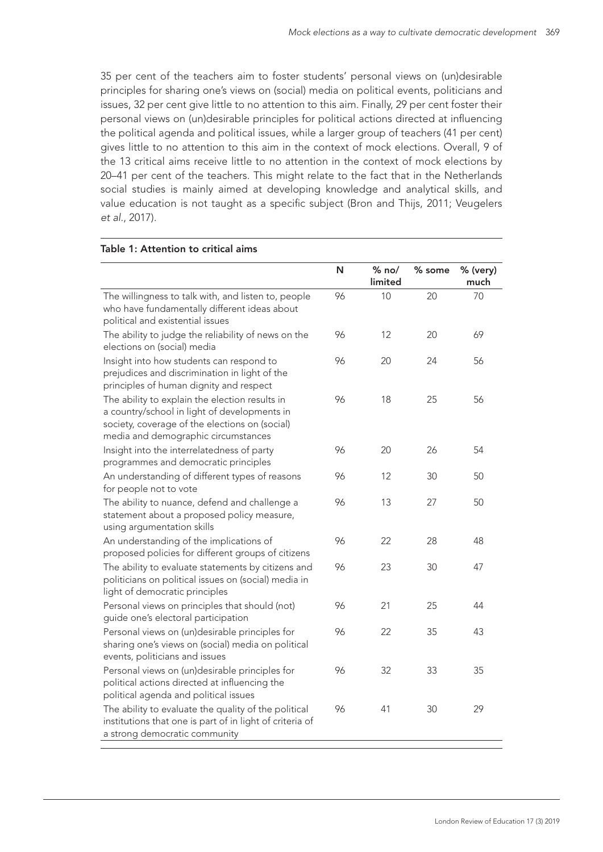35 per cent of the teachers aim to foster students' personal views on (un)desirable principles for sharing one's views on (social) media on political events, politicians and issues, 32 per cent give little to no attention to this aim. Finally, 29 per cent foster their personal views on (un)desirable principles for political actions directed at influencing the political agenda and political issues, while a larger group of teachers (41 per cent) gives little to no attention to this aim in the context of mock elections. Overall, 9 of the 13 critical aims receive little to no attention in the context of mock elections by 20–41 per cent of the teachers. This might relate to the fact that in the Netherlands social studies is mainly aimed at developing knowledge and analytical skills, and value education is not taught as a specific subject (Bron and Thijs, 2011; Veugelers *et al.*, 2017).

|                                                                                                                                                                                         | N  | $%$ no/<br>limited | % some | % (very)<br>much |
|-----------------------------------------------------------------------------------------------------------------------------------------------------------------------------------------|----|--------------------|--------|------------------|
| The willingness to talk with, and listen to, people<br>who have fundamentally different ideas about<br>political and existential issues                                                 | 96 | 10                 | 20     | 70               |
| The ability to judge the reliability of news on the<br>elections on (social) media                                                                                                      | 96 | 12                 | 20     | 69               |
| Insight into how students can respond to<br>prejudices and discrimination in light of the<br>principles of human dignity and respect                                                    | 96 | 20                 | 24     | 56               |
| The ability to explain the election results in<br>a country/school in light of developments in<br>society, coverage of the elections on (social)<br>media and demographic circumstances | 96 | 18                 | 25     | 56               |
| Insight into the interrelatedness of party<br>programmes and democratic principles                                                                                                      | 96 | 20                 | 26     | 54               |
| An understanding of different types of reasons<br>for people not to vote                                                                                                                | 96 | 12                 | 30     | 50               |
| The ability to nuance, defend and challenge a<br>statement about a proposed policy measure,<br>using argumentation skills                                                               | 96 | 13                 | 27     | 50               |
| An understanding of the implications of<br>proposed policies for different groups of citizens                                                                                           | 96 | 22                 | 28     | 48               |
| The ability to evaluate statements by citizens and<br>politicians on political issues on (social) media in<br>light of democratic principles                                            | 96 | 23                 | 30     | 47               |
| Personal views on principles that should (not)<br>guide one's electoral participation                                                                                                   | 96 | 21                 | 25     | 44               |
| Personal views on (un)desirable principles for<br>sharing one's views on (social) media on political<br>events, politicians and issues                                                  | 96 | 22                 | 35     | 43               |
| Personal views on (un)desirable principles for<br>political actions directed at influencing the<br>political agenda and political issues                                                | 96 | 32                 | 33     | 35               |
| The ability to evaluate the quality of the political<br>institutions that one is part of in light of criteria of<br>a strong democratic community                                       | 96 | 41                 | 30     | 29               |

#### Table 1: Attention to critical aims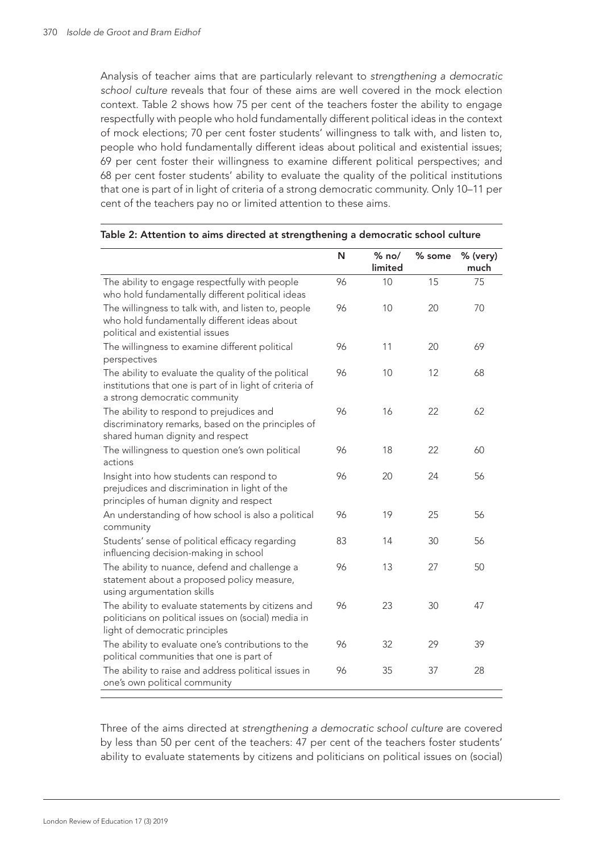Analysis of teacher aims that are particularly relevant to *strengthening a democratic school culture* reveals that four of these aims are well covered in the mock election context. Table 2 shows how 75 per cent of the teachers foster the ability to engage respectfully with people who hold fundamentally different political ideas in the context of mock elections; 70 per cent foster students' willingness to talk with, and listen to, people who hold fundamentally different ideas about political and existential issues; 69 per cent foster their willingness to examine different political perspectives; and 68 per cent foster students' ability to evaluate the quality of the political institutions that one is part of in light of criteria of a strong democratic community. Only 10–11 per cent of the teachers pay no or limited attention to these aims.

|                                                                                                                                                   | N  | $%$ no/<br>limited | % some | % (very)<br>much |
|---------------------------------------------------------------------------------------------------------------------------------------------------|----|--------------------|--------|------------------|
| The ability to engage respectfully with people<br>who hold fundamentally different political ideas                                                | 96 | 10                 | 15     | 75               |
| The willingness to talk with, and listen to, people<br>who hold fundamentally different ideas about<br>political and existential issues           | 96 | 10                 | 20     | 70               |
| The willingness to examine different political<br>perspectives                                                                                    | 96 | 11                 | 20     | 69               |
| The ability to evaluate the quality of the political<br>institutions that one is part of in light of criteria of<br>a strong democratic community | 96 | 10                 | 12     | 68               |
| The ability to respond to prejudices and<br>discriminatory remarks, based on the principles of<br>shared human dignity and respect                | 96 | 16                 | 22     | 62               |
| The willingness to question one's own political<br>actions                                                                                        | 96 | 18                 | 22     | 60               |
| Insight into how students can respond to<br>prejudices and discrimination in light of the<br>principles of human dignity and respect              | 96 | 20                 | 24     | 56               |
| An understanding of how school is also a political<br>community                                                                                   | 96 | 19                 | 25     | 56               |
| Students' sense of political efficacy regarding<br>influencing decision-making in school                                                          | 83 | 14                 | 30     | 56               |
| The ability to nuance, defend and challenge a<br>statement about a proposed policy measure,<br>using argumentation skills                         | 96 | 13                 | 27     | 50               |
| The ability to evaluate statements by citizens and<br>politicians on political issues on (social) media in<br>light of democratic principles      | 96 | 23                 | 30     | 47               |
| The ability to evaluate one's contributions to the<br>political communities that one is part of                                                   | 96 | 32                 | 29     | 39               |
| The ability to raise and address political issues in<br>one's own political community                                                             | 96 | 35                 | 37     | 28               |

#### Table 2: Attention to aims directed at strengthening a democratic school culture

Three of the aims directed at *strengthening a democratic school culture* are covered by less than 50 per cent of the teachers: 47 per cent of the teachers foster students' ability to evaluate statements by citizens and politicians on political issues on (social)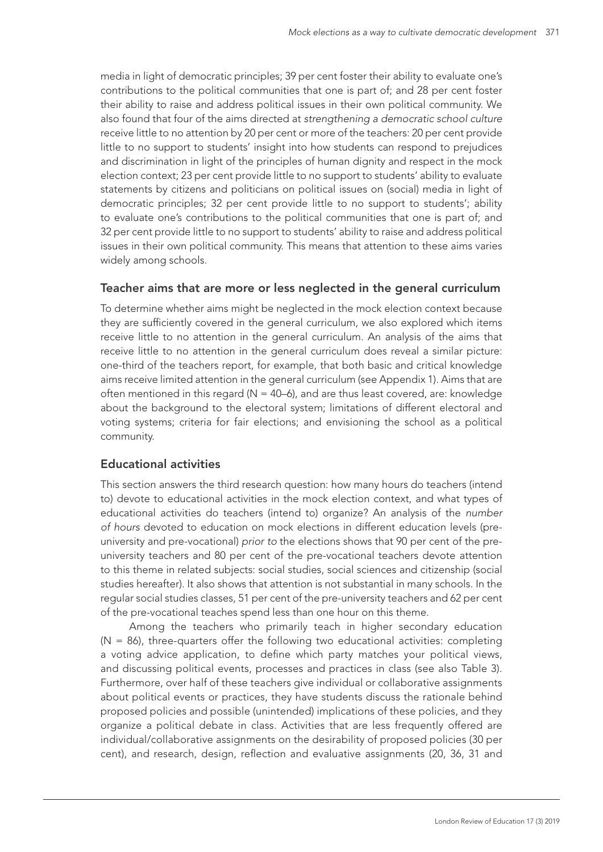media in light of democratic principles; 39 per cent foster their ability to evaluate one's contributions to the political communities that one is part of; and 28 per cent foster their ability to raise and address political issues in their own political community. We also found that four of the aims directed at *strengthening a democratic school culture*  receive little to no attention by 20 per cent or more of the teachers: 20 per cent provide little to no support to students' insight into how students can respond to prejudices and discrimination in light of the principles of human dignity and respect in the mock election context; 23 per cent provide little to no support to students' ability to evaluate statements by citizens and politicians on political issues on (social) media in light of democratic principles; 32 per cent provide little to no support to students'; ability to evaluate one's contributions to the political communities that one is part of; and 32 per cent provide little to no support to students' ability to raise and address political issues in their own political community. This means that attention to these aims varies widely among schools.

#### Teacher aims that are more or less neglected in the general curriculum

To determine whether aims might be neglected in the mock election context because they are sufficiently covered in the general curriculum, we also explored which items receive little to no attention in the general curriculum. An analysis of the aims that receive little to no attention in the general curriculum does reveal a similar picture: one-third of the teachers report, for example, that both basic and critical knowledge aims receive limited attention in the general curriculum (see Appendix 1). Aims that are often mentioned in this regard ( $N = 40-6$ ), and are thus least covered, are: knowledge about the background to the electoral system; limitations of different electoral and voting systems; criteria for fair elections; and envisioning the school as a political community.

### Educational activities

This section answers the third research question: how many hours do teachers (intend to) devote to educational activities in the mock election context, and what types of educational activities do teachers (intend to) organize? An analysis of the *number of hours* devoted to education on mock elections in different education levels (preuniversity and pre-vocational) *prior to* the elections shows that 90 per cent of the preuniversity teachers and 80 per cent of the pre-vocational teachers devote attention to this theme in related subjects: social studies, social sciences and citizenship (social studies hereafter). It also shows that attention is not substantial in many schools. In the regular social studies classes, 51 per cent of the pre-university teachers and 62 per cent of the pre-vocational teaches spend less than one hour on this theme.

Among the teachers who primarily teach in higher secondary education  $(N = 86)$ , three-quarters offer the following two educational activities: completing a voting advice application, to define which party matches your political views, and discussing political events, processes and practices in class (see also Table 3). Furthermore, over half of these teachers give individual or collaborative assignments about political events or practices, they have students discuss the rationale behind proposed policies and possible (unintended) implications of these policies, and they organize a political debate in class. Activities that are less frequently offered are individual/collaborative assignments on the desirability of proposed policies (30 per cent), and research, design, reflection and evaluative assignments (20, 36, 31 and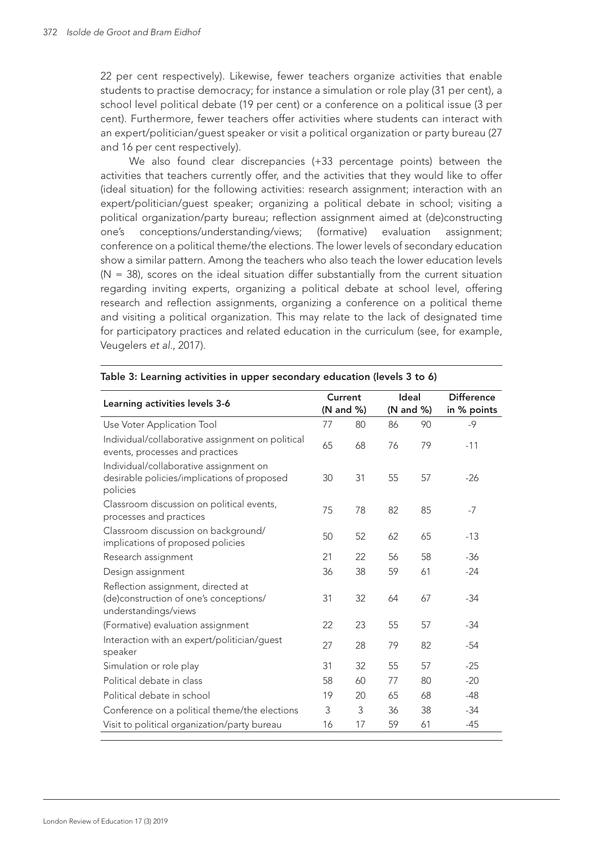22 per cent respectively). Likewise, fewer teachers organize activities that enable students to practise democracy; for instance a simulation or role play (31 per cent), a school level political debate (19 per cent) or a conference on a political issue (3 per cent). Furthermore, fewer teachers offer activities where students can interact with an expert/politician/guest speaker or visit a political organization or party bureau (27 and 16 per cent respectively).

We also found clear discrepancies (+33 percentage points) between the activities that teachers currently offer, and the activities that they would like to offer (ideal situation) for the following activities: research assignment; interaction with an expert/politician/guest speaker; organizing a political debate in school; visiting a political organization/party bureau; reflection assignment aimed at (de)constructing one's conceptions/understanding/views; (formative) evaluation assignment; conference on a political theme/the elections. The lower levels of secondary education show a similar pattern. Among the teachers who also teach the lower education levels  $(N = 38)$ , scores on the ideal situation differ substantially from the current situation regarding inviting experts, organizing a political debate at school level, offering research and reflection assignments, organizing a conference on a political theme and visiting a political organization. This may relate to the lack of designated time for participatory practices and related education in the curriculum (see, for example, Veugelers *et al.*, 2017).

| Learning activities levels 3-6                                                                       |    | Current   |    | Ideal     | <b>Difference</b> |
|------------------------------------------------------------------------------------------------------|----|-----------|----|-----------|-------------------|
|                                                                                                      |    | (N and %) |    | (N and %) | in % points       |
| Use Voter Application Tool                                                                           | 77 | 80        | 86 | 90        | $-9$              |
| Individual/collaborative assignment on political<br>events, processes and practices                  | 65 | 68        | 76 | 79        | $-11$             |
| Individual/collaborative assignment on<br>desirable policies/implications of proposed<br>policies    | 30 | 31        | 55 | 57        | $-26$             |
| Classroom discussion on political events,<br>processes and practices                                 | 75 | 78        | 82 | 85        | $-7$              |
| Classroom discussion on background/<br>implications of proposed policies                             | 50 | 52        | 62 | 65        | $-13$             |
| Research assignment                                                                                  | 21 | 22        | 56 | 58        | $-36$             |
| Design assignment                                                                                    | 36 | 38        | 59 | 61        | $-24$             |
| Reflection assignment, directed at<br>(de)construction of one's conceptions/<br>understandings/views | 31 | 32        | 64 | 67        | $-34$             |
| (Formative) evaluation assignment                                                                    | 22 | 23        | 55 | 57        | $-34$             |
| Interaction with an expert/politician/guest<br>speaker                                               | 27 | 28        | 79 | 82        | $-54$             |
| Simulation or role play                                                                              | 31 | 32        | 55 | 57        | $-25$             |
| Political debate in class                                                                            | 58 | 60        | 77 | 80        | $-20$             |
| Political debate in school                                                                           | 19 | 20        | 65 | 68        | $-48$             |
| Conference on a political theme/the elections                                                        | 3  | 3         | 36 | 38        | $-34$             |
| Visit to political organization/party bureau                                                         | 16 | 17        | 59 | 61        | $-45$             |

#### Table 3: Learning activities in upper secondary education (levels 3 to 6)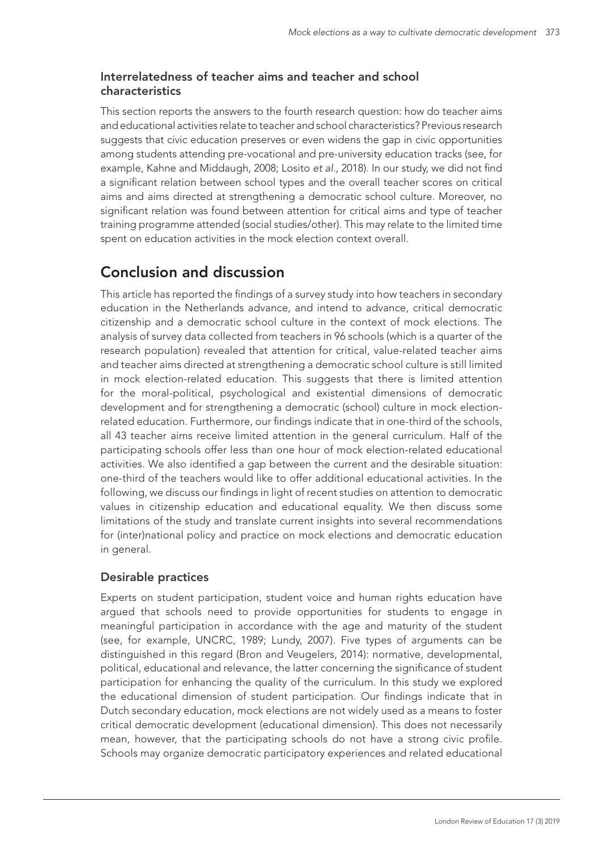## Interrelatedness of teacher aims and teacher and school characteristics

This section reports the answers to the fourth research question: how do teacher aims and educational activities relate to teacher and school characteristics? Previous research suggests that civic education preserves or even widens the gap in civic opportunities among students attending pre-vocational and pre-university education tracks (see, for example, Kahne and Middaugh, 2008; Losito *et al*., 2018). In our study, we did not find a significant relation between school types and the overall teacher scores on critical aims and aims directed at strengthening a democratic school culture. Moreover, no significant relation was found between attention for critical aims and type of teacher training programme attended (social studies/other). This may relate to the limited time spent on education activities in the mock election context overall.

# Conclusion and discussion

This article has reported the findings of a survey study into how teachers in secondary education in the Netherlands advance, and intend to advance, critical democratic citizenship and a democratic school culture in the context of mock elections. The analysis of survey data collected from teachers in 96 schools (which is a quarter of the research population) revealed that attention for critical, value-related teacher aims and teacher aims directed at strengthening a democratic school culture is still limited in mock election-related education. This suggests that there is limited attention for the moral-political, psychological and existential dimensions of democratic development and for strengthening a democratic (school) culture in mock electionrelated education. Furthermore, our findings indicate that in one-third of the schools, all 43 teacher aims receive limited attention in the general curriculum. Half of the participating schools offer less than one hour of mock election-related educational activities. We also identified a gap between the current and the desirable situation: one-third of the teachers would like to offer additional educational activities. In the following, we discuss our findings in light of recent studies on attention to democratic values in citizenship education and educational equality. We then discuss some limitations of the study and translate current insights into several recommendations for (inter)national policy and practice on mock elections and democratic education in general.

## Desirable practices

Experts on student participation, student voice and human rights education have argued that schools need to provide opportunities for students to engage in meaningful participation in accordance with the age and maturity of the student (see, for example, UNCRC, 1989; Lundy, 2007). Five types of arguments can be distinguished in this regard (Bron and Veugelers, 2014): normative, developmental, political, educational and relevance, the latter concerning the significance of student participation for enhancing the quality of the curriculum. In this study we explored the educational dimension of student participation. Our findings indicate that in Dutch secondary education, mock elections are not widely used as a means to foster critical democratic development (educational dimension). This does not necessarily mean, however, that the participating schools do not have a strong civic profile. Schools may organize democratic participatory experiences and related educational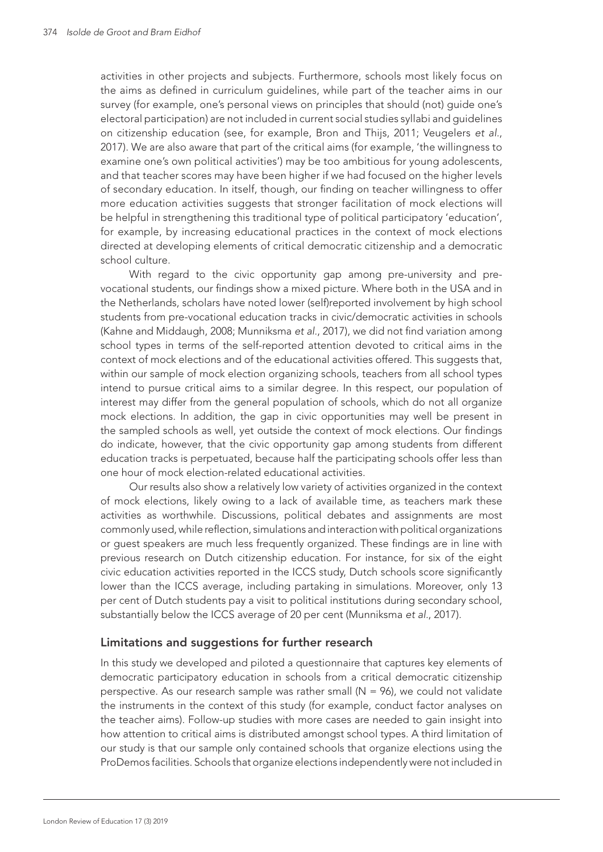activities in other projects and subjects. Furthermore, schools most likely focus on the aims as defined in curriculum guidelines, while part of the teacher aims in our survey (for example, one's personal views on principles that should (not) guide one's electoral participation) are not included in current social studies syllabi and guidelines on citizenship education (see, for example, Bron and Thijs, 2011; Veugelers *et al.*, 2017). We are also aware that part of the critical aims (for example, 'the willingness to examine one's own political activities') may be too ambitious for young adolescents, and that teacher scores may have been higher if we had focused on the higher levels of secondary education. In itself, though, our finding on teacher willingness to offer more education activities suggests that stronger facilitation of mock elections will be helpful in strengthening this traditional type of political participatory 'education', for example, by increasing educational practices in the context of mock elections directed at developing elements of critical democratic citizenship and a democratic school culture.

With regard to the civic opportunity gap among pre-university and prevocational students, our findings show a mixed picture. Where both in the USA and in the Netherlands, scholars have noted lower (self)reported involvement by high school students from pre-vocational education tracks in civic/democratic activities in schools (Kahne and Middaugh, 2008; Munniksma *et al.*, 2017), we did not find variation among school types in terms of the self-reported attention devoted to critical aims in the context of mock elections and of the educational activities offered. This suggests that, within our sample of mock election organizing schools, teachers from all school types intend to pursue critical aims to a similar degree. In this respect, our population of interest may differ from the general population of schools, which do not all organize mock elections. In addition, the gap in civic opportunities may well be present in the sampled schools as well, yet outside the context of mock elections. Our findings do indicate, however, that the civic opportunity gap among students from different education tracks is perpetuated, because half the participating schools offer less than one hour of mock election-related educational activities.

Our results also show a relatively low variety of activities organized in the context of mock elections, likely owing to a lack of available time, as teachers mark these activities as worthwhile. Discussions, political debates and assignments are most commonly used, while reflection, simulations and interaction with political organizations or guest speakers are much less frequently organized. These findings are in line with previous research on Dutch citizenship education. For instance, for six of the eight civic education activities reported in the ICCS study, Dutch schools score significantly lower than the ICCS average, including partaking in simulations. Moreover, only 13 per cent of Dutch students pay a visit to political institutions during secondary school, substantially below the ICCS average of 20 per cent (Munniksma *et al.*, 2017).

#### Limitations and suggestions for further research

In this study we developed and piloted a questionnaire that captures key elements of democratic participatory education in schools from a critical democratic citizenship perspective. As our research sample was rather small  $(N = 96)$ , we could not validate the instruments in the context of this study (for example, conduct factor analyses on the teacher aims). Follow-up studies with more cases are needed to gain insight into how attention to critical aims is distributed amongst school types. A third limitation of our study is that our sample only contained schools that organize elections using the ProDemos facilities. Schools that organize elections independently were not included in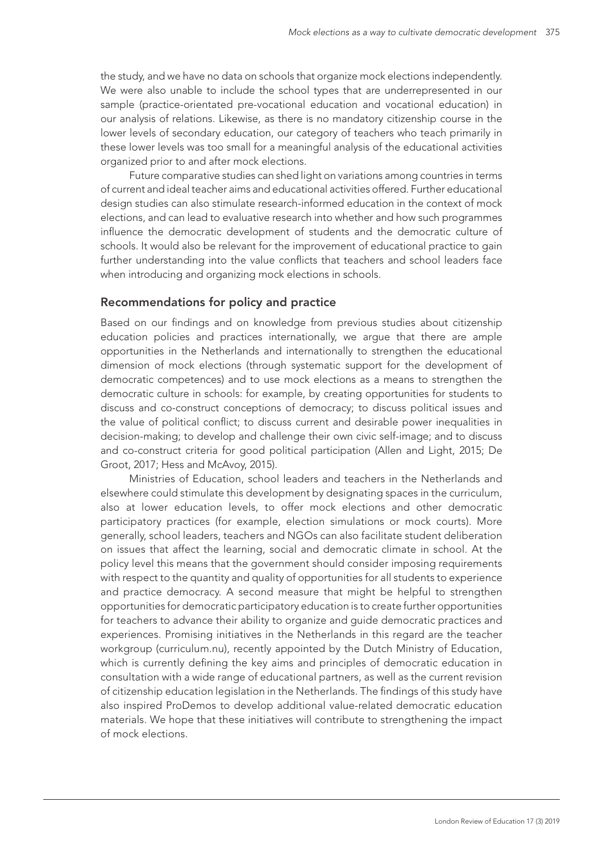the study, and we have no data on schools that organize mock elections independently. We were also unable to include the school types that are underrepresented in our sample (practice-orientated pre-vocational education and vocational education) in our analysis of relations. Likewise, as there is no mandatory citizenship course in the lower levels of secondary education, our category of teachers who teach primarily in these lower levels was too small for a meaningful analysis of the educational activities organized prior to and after mock elections.

Future comparative studies can shed light on variations among countries in terms of current and ideal teacher aims and educational activities offered. Further educational design studies can also stimulate research-informed education in the context of mock elections, and can lead to evaluative research into whether and how such programmes influence the democratic development of students and the democratic culture of schools. It would also be relevant for the improvement of educational practice to gain further understanding into the value conflicts that teachers and school leaders face when introducing and organizing mock elections in schools.

#### Recommendations for policy and practice

Based on our findings and on knowledge from previous studies about citizenship education policies and practices internationally, we argue that there are ample opportunities in the Netherlands and internationally to strengthen the educational dimension of mock elections (through systematic support for the development of democratic competences) and to use mock elections as a means to strengthen the democratic culture in schools: for example, by creating opportunities for students to discuss and co-construct conceptions of democracy; to discuss political issues and the value of political conflict; to discuss current and desirable power inequalities in decision-making; to develop and challenge their own civic self-image; and to discuss and co-construct criteria for good political participation (Allen and Light, 2015; De Groot, 2017; Hess and McAvoy, 2015).

Ministries of Education, school leaders and teachers in the Netherlands and elsewhere could stimulate this development by designating spaces in the curriculum, also at lower education levels, to offer mock elections and other democratic participatory practices (for example, election simulations or mock courts). More generally, school leaders, teachers and NGOs can also facilitate student deliberation on issues that affect the learning, social and democratic climate in school. At the policy level this means that the government should consider imposing requirements with respect to the quantity and quality of opportunities for all students to experience and practice democracy. A second measure that might be helpful to strengthen opportunities for democratic participatory education is to create further opportunities for teachers to advance their ability to organize and guide democratic practices and experiences. Promising initiatives in the Netherlands in this regard are the teacher workgroup (curriculum.nu), recently appointed by the Dutch Ministry of Education, which is currently defining the key aims and principles of democratic education in consultation with a wide range of educational partners, as well as the current revision of citizenship education legislation in the Netherlands. The findings of this study have also inspired ProDemos to develop additional value-related democratic education materials. We hope that these initiatives will contribute to strengthening the impact of mock elections.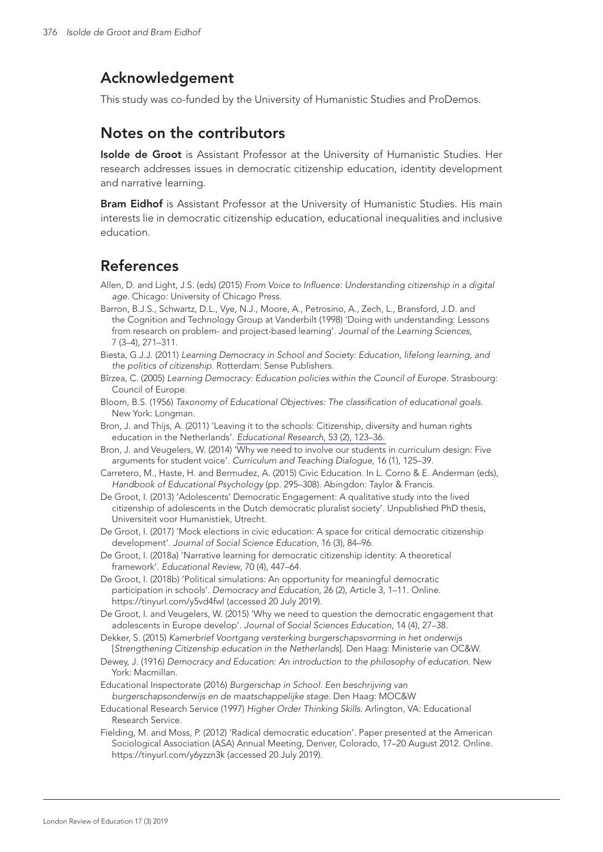# Acknowledgement

This study was co-funded by the University of Humanistic Studies and ProDemos.

# Notes on the contributors

Isolde de Groot is Assistant Professor at the University of Humanistic Studies. Her research addresses issues in democratic citizenship education, identity development and narrative learning.

Bram Eidhof is Assistant Professor at the University of Humanistic Studies. His main interests lie in democratic citizenship education, educational inequalities and inclusive education.

# References

- Allen, D. and Light, J.S. (eds) (2015) *From Voice to Influence: Understanding citizenship in a digital age*. Chicago: University of Chicago Press.
- Barron, B.J.S., Schwartz, D.L., Vye, N.J., Moore, A., Petrosino, A., Zech, L., Bransford, J.D. and the Cognition and Technology Group at Vanderbilt (1998) 'Doing with understanding: Lessons from research on problem- and project-based learning'. *Journal of the Learning Sciences*, 7 (3–4), 271–311.

Biesta, G.J.J. (2011) *Learning Democracy in School and Society: Education, lifelong learning, and the politics of citizenship*. Rotterdam: Sense Publishers.

- Bîrzea, C. (2005) *Learning Democracy: Education policies within the Council of Europe*. Strasbourg: Council of Europe.
- Bloom, B.S. (1956) *Taxonomy of Educational Objectives: The classification of educational goals*. New York: Longman.

Bron, J. and Thijs, A. (2011) 'Leaving it to the schools: Citizenship, diversity and human rights education in the Netherlands'. *[Educational Research](http://www.ingentaconnect.com/content/external-references?article=0013-1881()53:2L.123[aid=11272646])*, 53 (2), 123–36.

- Bron, J. and Veugelers, W. (2014) 'Why we need to involve our students in curriculum design: Five arguments for student voice'. *Curriculum and Teaching Dialogue,* 16 (1), 125–39.
- Carretero, M., Haste, H. and Bermudez, A. (2015) Civic Education. In L. Corno & E. Anderman (eds), *Handbook of Educational Psychology* (pp. 295–308). Abingdon: Taylor & Francis.
- De Groot, I. (2013) 'Adolescents' Democratic Engagement: A qualitative study into the lived citizenship of adolescents in the Dutch democratic pluralist society'. Unpublished PhD thesis, Universiteit voor Humanistiek, Utrecht.
- De Groot, I. (2017) 'Mock elections in civic education: A space for critical democratic citizenship development'. *Journal of Social Science Education*, 16 (3), 84–96.
- De Groot, I. (2018a) 'Narrative learning for democratic citizenship identity: A theoretical framework'. *Educational Review*, 70 (4), 447–64.
- De Groot, I. (2018b) 'Political simulations: An opportunity for meaningful democratic participation in schools'. *Democracy and Education*, 26 (2), Article 3, 1–11. Online. https://tinyurl.com/y5vd4fwl (accessed 20 July 2019).

De Groot, I. and Veugelers, W. (2015) 'Why we need to question the democratic engagement that adolescents in Europe develop'. *Journal of Social Sciences Education*, 14 (4), 27–38.

Dekker, S. (2015) *Kamerbrief Voortgang versterking burgerschapsvorming in het onderwijs*  [*Strengthening Citizenship education in the Netherlands*]. Den Haag: Ministerie van OC&W.

- Dewey, J. (1916) *Democracy and Education: An introduction to the philosophy of education*. New York: Macmillan.
- Educational Inspectorate (2016) *Burgerschap in School. Een beschrijving van burgerschapsonderwijs en de maatschappelijke stage*. Den Haag: MOC&W
- Educational Research Service (1997) *Higher Order Thinking Skills*. Arlington, VA: Educational Research Service.
- Fielding, M. and Moss, P. (2012) 'Radical democratic education'*.* Paper presented at the American Sociological Association (ASA) Annual Meeting, Denver, Colorado, 17–20 August 2012. Online. https://tinyurl.com/y6yzzn3k (accessed 20 July 2019).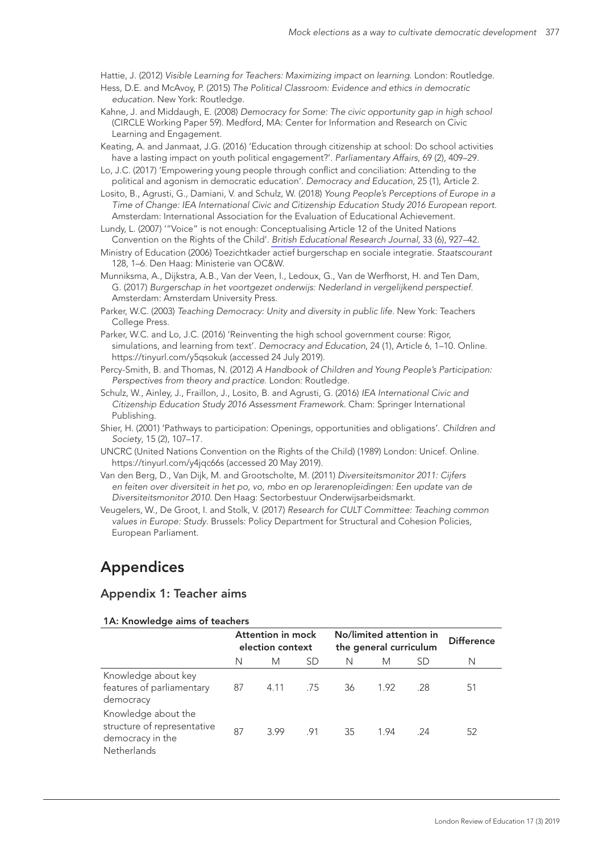Hattie, J. (2012) *Visible Learning for Teachers: Maximizing impact on learning*. London: Routledge.

- Hess, D.E. and McAvoy, P. (2015) *The Political Classroom: Evidence and ethics in democratic education*. New York: Routledge.
- Kahne, J. and Middaugh, E. (2008) *Democracy for Some: The civic opportunity gap in high school* (CIRCLE Working Paper 59). Medford, MA: Center for Information and Research on Civic Learning and Engagement.
- Keating, A. and Janmaat, J.G. (2016) 'Education through citizenship at school: Do school activities have a lasting impact on youth political engagement?'. *Parliamentary Affairs*, 69 (2), 409–29.
- Lo, J.C. (2017) 'Empowering young people through conflict and conciliation: Attending to the political and agonism in democratic education'. *Democracy and Education*, 25 (1), Article 2.
- Losito, B., Agrusti, G., Damiani, V. and Schulz, W. (2018) *Young People's Perceptions of Europe in a Time of Change: IEA International Civic and Citizenship Education Study 2016 European report*. Amsterdam: International Association for the Evaluation of Educational Achievement.
- Lundy, L. (2007) '"Voice" is not enough: Conceptualising Article 12 of the United Nations Convention on the Rights of the Child'. *[British Educational Research Journal](http://www.ingentaconnect.com/content/external-references?article=0141-1926()33:6L.927[aid=10289767])*, 33 (6), 927–42.
- Ministry of Education (2006) Toezichtkader actief burgerschap en sociale integratie. *Staatscourant* 128, 1–6. Den Haag: Ministerie van OC&W.
- Munniksma, A., Dijkstra, A.B., Van der Veen, I., Ledoux, G., Van de Werfhorst, H. and Ten Dam, G. (2017) *Burgerschap in het voortgezet onderwijs: Nederland in vergelijkend perspectief*. Amsterdam: Amsterdam University Press.
- Parker, W.C. (2003) *Teaching Democracy: Unity and diversity in public life.* New York: Teachers College Press.
- Parker, W.C. and Lo, J.C. (2016) 'Reinventing the high school government course: Rigor, simulations, and learning from text'. *Democracy and Education*, 24 (1), Article 6, 1–10. Online. https://tinyurl.com/y5qsokuk (accessed 24 July 2019).
- Percy-Smith, B. and Thomas, N. (2012) *A Handbook of Children and Young People's Participation: Perspectives from theory and practice*. London: Routledge.
- Schulz, W., Ainley, J., Fraillon, J., Losito, B. and Agrusti, G. (2016) *IEA International Civic and Citizenship Education Study 2016 Assessment Framework*. Cham: Springer International Publishing.
- Shier, H. (2001) 'Pathways to participation: Openings, opportunities and obligations'. *Children and Society*, 15 (2), 107–17.
- UNCRC (United Nations Convention on the Rights of the Child) (1989) London: Unicef. Online. https://tinyurl.com/y4jqc66s (accessed 20 May 2019).
- Van den Berg, D., Van Dijk, M. and Grootscholte, M. (2011) *Diversiteitsmonitor 2011: Cijfers en feiten over diversiteit in het po, vo, mbo en op lerarenopleidingen: Een update van de Diversiteitsmonitor 2010*. Den Haag: Sectorbestuur Onderwijsarbeidsmarkt.
- Veugelers, W., De Groot, I. and Stolk, V. (2017) *Research for CULT Committee: Teaching common values in Europe: Study*. Brussels: Policy Department for Structural and Cohesion Policies, European Parliament.

## Appendices

#### Appendix 1: Teacher aims

#### 1A: Knowledge aims of teachers

|                                                                                       | Attention in mock<br>election context |             | No/limited attention in<br>the general curriculum |     |      | <b>Difference</b> |    |
|---------------------------------------------------------------------------------------|---------------------------------------|-------------|---------------------------------------------------|-----|------|-------------------|----|
|                                                                                       | N                                     | M           | -SD                                               | N   | M    | SD                | N  |
| Knowledge about key<br>features of parliamentary<br>democracy                         | 87                                    | 4.11 .75 36 |                                                   |     | 1.92 | .28               | 51 |
| Knowledge about the<br>structure of representative<br>democracy in the<br>Netherlands | 87                                    | 3.99        | .91                                               | -35 | 1.94 | - 24              | 52 |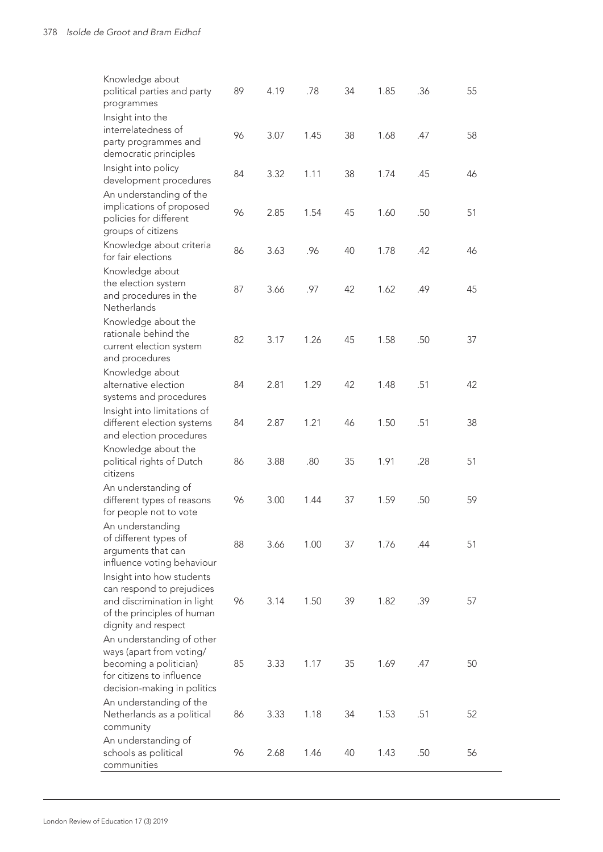| Knowledge about<br>political parties and party<br>programmes                                                                                | 89 | 4.19 | .78  | 34 | 1.85 | .36 | 55 |
|---------------------------------------------------------------------------------------------------------------------------------------------|----|------|------|----|------|-----|----|
| Insight into the<br>interrelatedness of<br>party programmes and                                                                             | 96 | 3.07 | 1.45 | 38 | 1.68 | .47 | 58 |
| democratic principles                                                                                                                       |    |      |      |    |      |     |    |
| Insight into policy<br>development procedures                                                                                               | 84 | 3.32 | 1.11 | 38 | 1.74 | .45 | 46 |
| An understanding of the<br>implications of proposed<br>policies for different<br>groups of citizens                                         | 96 | 2.85 | 1.54 | 45 | 1.60 | .50 | 51 |
| Knowledge about criteria<br>for fair elections                                                                                              | 86 | 3.63 | .96  | 40 | 1.78 | .42 | 46 |
| Knowledge about<br>the election system<br>and procedures in the<br>Netherlands                                                              | 87 | 3.66 | .97  | 42 | 1.62 | .49 | 45 |
| Knowledge about the<br>rationale behind the<br>current election system<br>and procedures                                                    | 82 | 3.17 | 1.26 | 45 | 1.58 | .50 | 37 |
| Knowledge about<br>alternative election<br>systems and procedures                                                                           | 84 | 2.81 | 1.29 | 42 | 1.48 | .51 | 42 |
| Insight into limitations of<br>different election systems<br>and election procedures                                                        | 84 | 2.87 | 1.21 | 46 | 1.50 | .51 | 38 |
| Knowledge about the<br>political rights of Dutch<br>citizens                                                                                | 86 | 3.88 | .80  | 35 | 1.91 | .28 | 51 |
| An understanding of<br>different types of reasons<br>for people not to vote                                                                 | 96 | 3.00 | 1.44 | 37 | 1.59 | .50 | 59 |
| An understanding<br>of different types of<br>arguments that can<br>influence voting behaviour                                               | 88 | 3.66 | 1.00 | 37 | 1.76 | .44 | 51 |
| Insight into how students<br>can respond to prejudices<br>and discrimination in light<br>of the principles of human<br>dignity and respect  | 96 | 3.14 | 1.50 | 39 | 1.82 | .39 | 57 |
| An understanding of other<br>ways (apart from voting/<br>becoming a politician)<br>for citizens to influence<br>decision-making in politics | 85 | 3.33 | 1.17 | 35 | 1.69 | .47 | 50 |
| An understanding of the<br>Netherlands as a political<br>community                                                                          | 86 | 3.33 | 1.18 | 34 | 1.53 | .51 | 52 |
| An understanding of<br>schools as political<br>communities                                                                                  | 96 | 2.68 | 1.46 | 40 | 1.43 | .50 | 56 |

 $\overline{a}$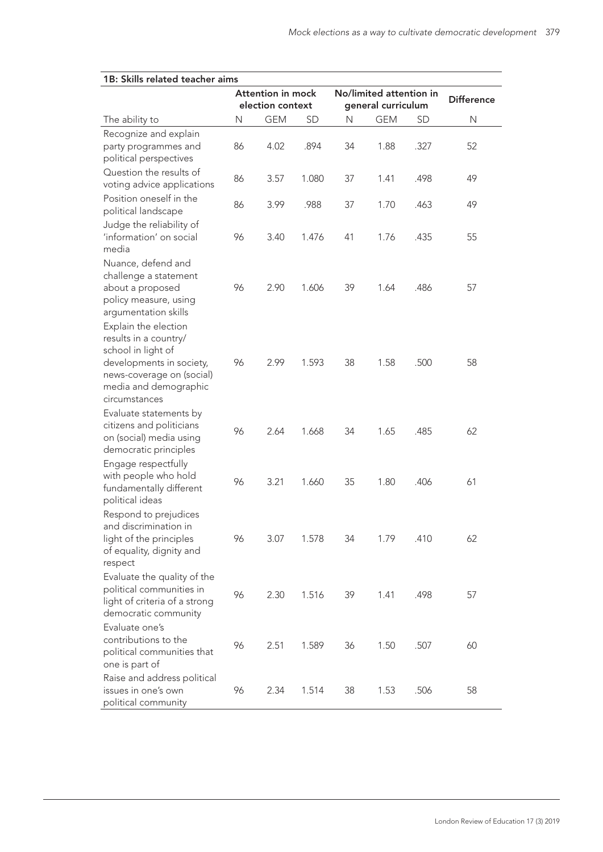$\overline{a}$ 

| 1B: Skills related teacher aims                                                                                                                                        |                                              |            |           |                                               |                   |           |              |  |
|------------------------------------------------------------------------------------------------------------------------------------------------------------------------|----------------------------------------------|------------|-----------|-----------------------------------------------|-------------------|-----------|--------------|--|
|                                                                                                                                                                        | <b>Attention in mock</b><br>election context |            |           | No/limited attention in<br>general curriculum | <b>Difference</b> |           |              |  |
| The ability to                                                                                                                                                         | N                                            | <b>GEM</b> | <b>SD</b> | N                                             | <b>GEM</b>        | <b>SD</b> | $\mathsf{N}$ |  |
| Recognize and explain<br>party programmes and                                                                                                                          | 86                                           | 4.02       | .894      | 34                                            | 1.88              | .327      | 52           |  |
| political perspectives<br>Question the results of<br>voting advice applications                                                                                        | 86                                           | 3.57       | 1.080     | 37                                            | 1.41              | .498      | 49           |  |
| Position oneself in the<br>political landscape                                                                                                                         | 86                                           | 3.99       | .988      | 37                                            | 1.70              | .463      | 49           |  |
| Judge the reliability of<br>'information' on social<br>media                                                                                                           | 96                                           | 3.40       | 1.476     | 41                                            | 1.76              | .435      | 55           |  |
| Nuance, defend and<br>challenge a statement<br>about a proposed<br>policy measure, using<br>argumentation skills                                                       | 96                                           | 2.90       | 1.606     | 39                                            | 1.64              | .486      | 57           |  |
| Explain the election<br>results in a country/<br>school in light of<br>developments in society,<br>news-coverage on (social)<br>media and demographic<br>circumstances | 96                                           | 2.99       | 1.593     | 38                                            | 1.58              | .500      | 58           |  |
| Evaluate statements by<br>citizens and politicians<br>on (social) media using<br>democratic principles                                                                 | 96                                           | 2.64       | 1.668     | 34                                            | 1.65              | .485      | 62           |  |
| Engage respectfully<br>with people who hold<br>fundamentally different<br>political ideas                                                                              | 96                                           | 3.21       | 1.660     | 35                                            | 1.80              | .406      | 61           |  |
| Respond to prejudices<br>and discrimination in<br>light of the principles<br>of equality, dignity and<br>respect                                                       | 96                                           | 3.07       | 1.578     | 34                                            | 1.79              | .410      | 62           |  |
| Evaluate the quality of the<br>political communities in<br>light of criteria of a strong<br>democratic community                                                       | 96                                           | 2.30       | 1.516     | 39                                            | 1.41              | .498      | 57           |  |
| Evaluate one's<br>contributions to the<br>political communities that<br>one is part of                                                                                 | 96                                           | 2.51       | 1.589     | 36                                            | 1.50              | .507      | 60           |  |
| Raise and address political<br>issues in one's own<br>political community                                                                                              | 96                                           | 2.34       | 1.514     | 38                                            | 1.53              | .506      | 58           |  |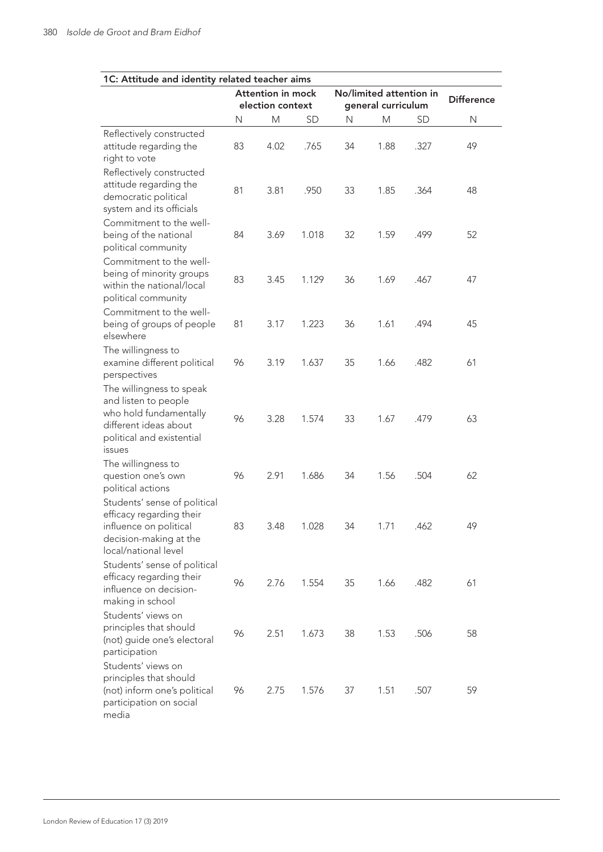| 1C: Attitude and identity related teacher aims                                                                                                    |                                              |      |           |    |                                               |                   |    |
|---------------------------------------------------------------------------------------------------------------------------------------------------|----------------------------------------------|------|-----------|----|-----------------------------------------------|-------------------|----|
|                                                                                                                                                   | <b>Attention in mock</b><br>election context |      |           |    | No/limited attention in<br>general curriculum | <b>Difference</b> |    |
|                                                                                                                                                   | N                                            | M    | <b>SD</b> | N  | М                                             | <b>SD</b>         | N  |
| Reflectively constructed<br>attitude regarding the<br>right to vote                                                                               | 83                                           | 4.02 | .765      | 34 | 1.88                                          | .327              | 49 |
| Reflectively constructed<br>attitude regarding the<br>democratic political<br>system and its officials                                            | 81                                           | 3.81 | .950      | 33 | 1.85                                          | .364              | 48 |
| Commitment to the well-<br>being of the national<br>political community                                                                           | 84                                           | 3.69 | 1.018     | 32 | 1.59                                          | .499              | 52 |
| Commitment to the well-<br>being of minority groups<br>within the national/local<br>political community                                           | 83                                           | 3.45 | 1.129     | 36 | 1.69                                          | .467              | 47 |
| Commitment to the well-<br>being of groups of people<br>elsewhere                                                                                 | 81                                           | 3.17 | 1.223     | 36 | 1.61                                          | .494              | 45 |
| The willingness to<br>examine different political<br>perspectives                                                                                 | 96                                           | 3.19 | 1.637     | 35 | 1.66                                          | .482              | 61 |
| The willingness to speak<br>and listen to people<br>who hold fundamentally<br>different ideas about<br>political and existential<br><i>issues</i> | 96                                           | 3.28 | 1.574     | 33 | 1.67                                          | .479              | 63 |
| The willingness to<br>question one's own<br>political actions                                                                                     | 96                                           | 2.91 | 1.686     | 34 | 1.56                                          | .504              | 62 |
| Students' sense of political<br>efficacy regarding their<br>influence on political<br>decision-making at the<br>local/national level              | 83                                           | 3.48 | 1.028     | 34 | 1.71                                          | .462              | 49 |
| Students' sense of political<br>efficacy regarding their<br>influence on decision-<br>making in school                                            | 96                                           | 2.76 | 1.554     | 35 | 1.66                                          | .482              | 61 |
| Students' views on<br>principles that should<br>(not) guide one's electoral<br>participation                                                      | 96                                           | 2.51 | 1.673     | 38 | 1.53                                          | .506              | 58 |
| Students' views on<br>principles that should<br>(not) inform one's political<br>participation on social<br>media                                  | 96                                           | 2.75 | 1.576     | 37 | 1.51                                          | .507              | 59 |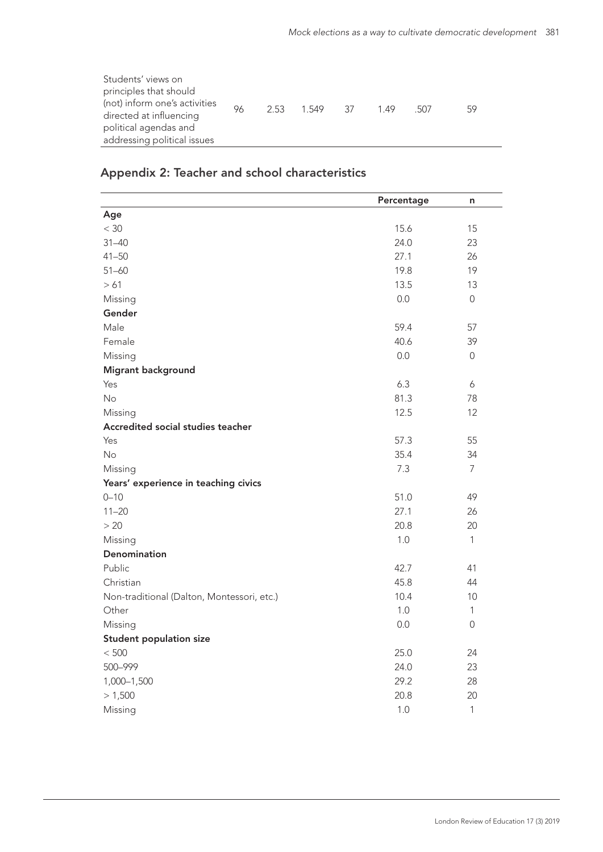| Students' views on<br>principles that should<br>(not) inform one's activities<br>directed at influencing<br>political agendas and<br>addressing political issues | 96 |  | 2.53 1.549 37 |  | 149 | - 507 | 59 |
|------------------------------------------------------------------------------------------------------------------------------------------------------------------|----|--|---------------|--|-----|-------|----|
|------------------------------------------------------------------------------------------------------------------------------------------------------------------|----|--|---------------|--|-----|-------|----|

## Appendix 2: Teacher and school characteristics

|                                            | Percentage | n              |
|--------------------------------------------|------------|----------------|
| Age                                        |            |                |
| $<$ 30                                     | 15.6       | 15             |
| $31 - 40$                                  | 24.0       | 23             |
| $41 - 50$                                  | 27.1       | 26             |
| $51 - 60$                                  | 19.8       | 19             |
| >61                                        | 13.5       | 13             |
| Missing                                    | 0.0        | $\overline{0}$ |
| Gender                                     |            |                |
| Male                                       | 59.4       | 57             |
| Female                                     | 40.6       | 39             |
| Missing                                    | 0.0        | $\overline{0}$ |
| Migrant background                         |            |                |
| Yes                                        | 6.3        | 6              |
| No                                         | 81.3       | 78             |
| Missing                                    | 12.5       | 12             |
| Accredited social studies teacher          |            |                |
| Yes                                        | 57.3       | 55             |
| No                                         | 35.4       | 34             |
| Missing                                    | 7.3        | $\overline{7}$ |
| Years' experience in teaching civics       |            |                |
| $0 - 10$                                   | 51.0       | 49             |
| $11 - 20$                                  | 27.1       | 26             |
| > 20                                       | 20.8       | 20             |
| Missing                                    | 1.0        | $\mathbf{1}$   |
| Denomination                               |            |                |
| Public                                     | 42.7       | 41             |
| Christian                                  | 45.8       | 44             |
| Non-traditional (Dalton, Montessori, etc.) | 10.4       | 10             |
| Other                                      | 1.0        | $\mathbf{1}$   |
| Missing                                    | 0.0        | $\mathbf 0$    |
| <b>Student population size</b>             |            |                |
| $< 500\,$                                  | 25.0       | 24             |
| 500-999                                    | 24.0       | 23             |
| 1,000-1,500                                | 29.2       | 28             |
| > 1,500                                    | 20.8       | 20             |
| Missing                                    | $1.0\,$    | $\mathbf{1}$   |